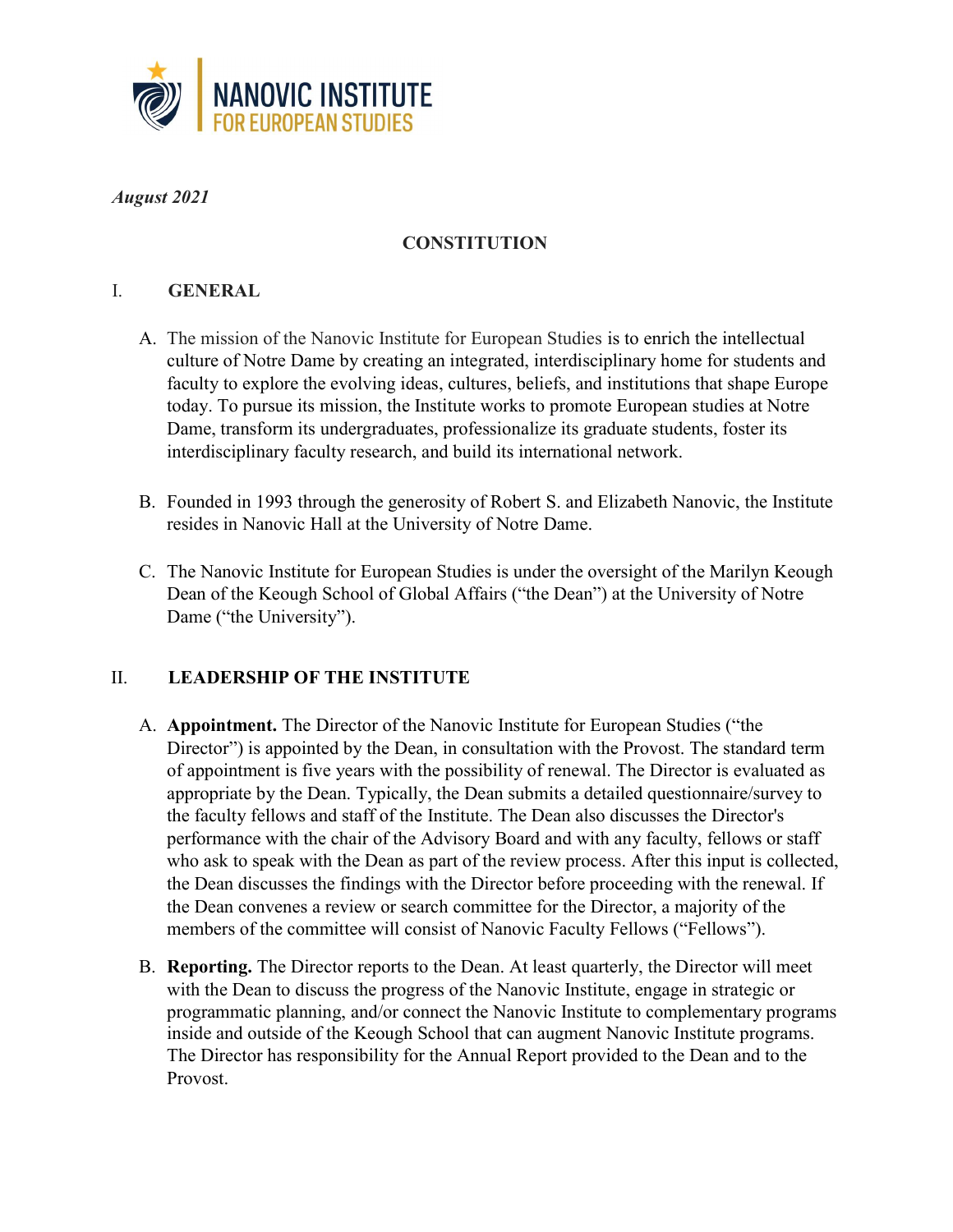

#### August 2021

# CONSTITUTION

### I. GENERAL

- A. The mission of the Nanovic Institute for European Studies is to enrich the intellectual culture of Notre Dame by creating an integrated, interdisciplinary home for students and faculty to explore the evolving ideas, cultures, beliefs, and institutions that shape Europe today. To pursue its mission, the Institute works to promote European studies at Notre Dame, transform its undergraduates, professionalize its graduate students, foster its interdisciplinary faculty research, and build its international network.
- B. Founded in 1993 through the generosity of Robert S. and Elizabeth Nanovic, the Institute resides in Nanovic Hall at the University of Notre Dame.
- C. The Nanovic Institute for European Studies is under the oversight of the Marilyn Keough Dean of the Keough School of Global Affairs ("the Dean") at the University of Notre Dame ("the University").

#### II. LEADERSHIP OF THE INSTITUTE

- A. Appointment. The Director of the Nanovic Institute for European Studies ("the Director") is appointed by the Dean, in consultation with the Provost. The standard term of appointment is five years with the possibility of renewal. The Director is evaluated as appropriate by the Dean. Typically, the Dean submits a detailed questionnaire/survey to the faculty fellows and staff of the Institute. The Dean also discusses the Director's performance with the chair of the Advisory Board and with any faculty, fellows or staff who ask to speak with the Dean as part of the review process. After this input is collected, the Dean discusses the findings with the Director before proceeding with the renewal. If the Dean convenes a review or search committee for the Director, a majority of the members of the committee will consist of Nanovic Faculty Fellows ("Fellows").
- B. Reporting. The Director reports to the Dean. At least quarterly, the Director will meet with the Dean to discuss the progress of the Nanovic Institute, engage in strategic or programmatic planning, and/or connect the Nanovic Institute to complementary programs inside and outside of the Keough School that can augment Nanovic Institute programs. The Director has responsibility for the Annual Report provided to the Dean and to the Provost.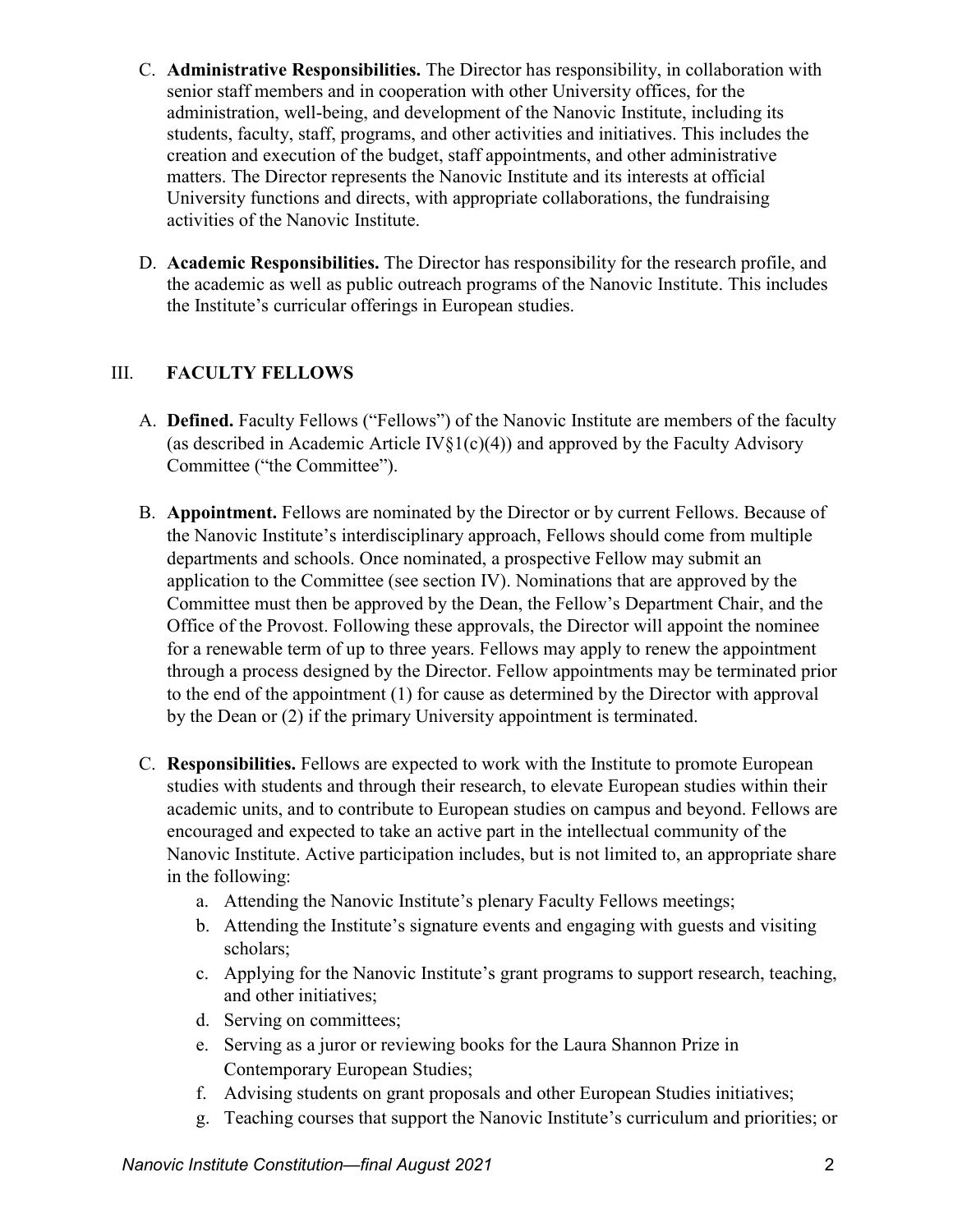- C. Administrative Responsibilities. The Director has responsibility, in collaboration with senior staff members and in cooperation with other University offices, for the administration, well-being, and development of the Nanovic Institute, including its students, faculty, staff, programs, and other activities and initiatives. This includes the creation and execution of the budget, staff appointments, and other administrative matters. The Director represents the Nanovic Institute and its interests at official University functions and directs, with appropriate collaborations, the fundraising activities of the Nanovic Institute.
- D. Academic Responsibilities. The Director has responsibility for the research profile, and the academic as well as public outreach programs of the Nanovic Institute. This includes the Institute's curricular offerings in European studies.

### III. FACULTY FELLOWS

- A. Defined. Faculty Fellows ("Fellows") of the Nanovic Institute are members of the faculty (as described in Academic Article IV $\S1(c)(4)$ ) and approved by the Faculty Advisory Committee ("the Committee").
- B. Appointment. Fellows are nominated by the Director or by current Fellows. Because of the Nanovic Institute's interdisciplinary approach, Fellows should come from multiple departments and schools. Once nominated, a prospective Fellow may submit an application to the Committee (see section IV). Nominations that are approved by the Committee must then be approved by the Dean, the Fellow's Department Chair, and the Office of the Provost. Following these approvals, the Director will appoint the nominee for a renewable term of up to three years. Fellows may apply to renew the appointment through a process designed by the Director. Fellow appointments may be terminated prior to the end of the appointment (1) for cause as determined by the Director with approval by the Dean or (2) if the primary University appointment is terminated.
- C. Responsibilities. Fellows are expected to work with the Institute to promote European studies with students and through their research, to elevate European studies within their academic units, and to contribute to European studies on campus and beyond. Fellows are encouraged and expected to take an active part in the intellectual community of the Nanovic Institute. Active participation includes, but is not limited to, an appropriate share in the following:
	- a. Attending the Nanovic Institute's plenary Faculty Fellows meetings;
	- b. Attending the Institute's signature events and engaging with guests and visiting scholars;
	- c. Applying for the Nanovic Institute's grant programs to support research, teaching, and other initiatives;
	- d. Serving on committees;
	- e. Serving as a juror or reviewing books for the Laura Shannon Prize in Contemporary European Studies;
	- f. Advising students on grant proposals and other European Studies initiatives;
	- g. Teaching courses that support the Nanovic Institute's curriculum and priorities; or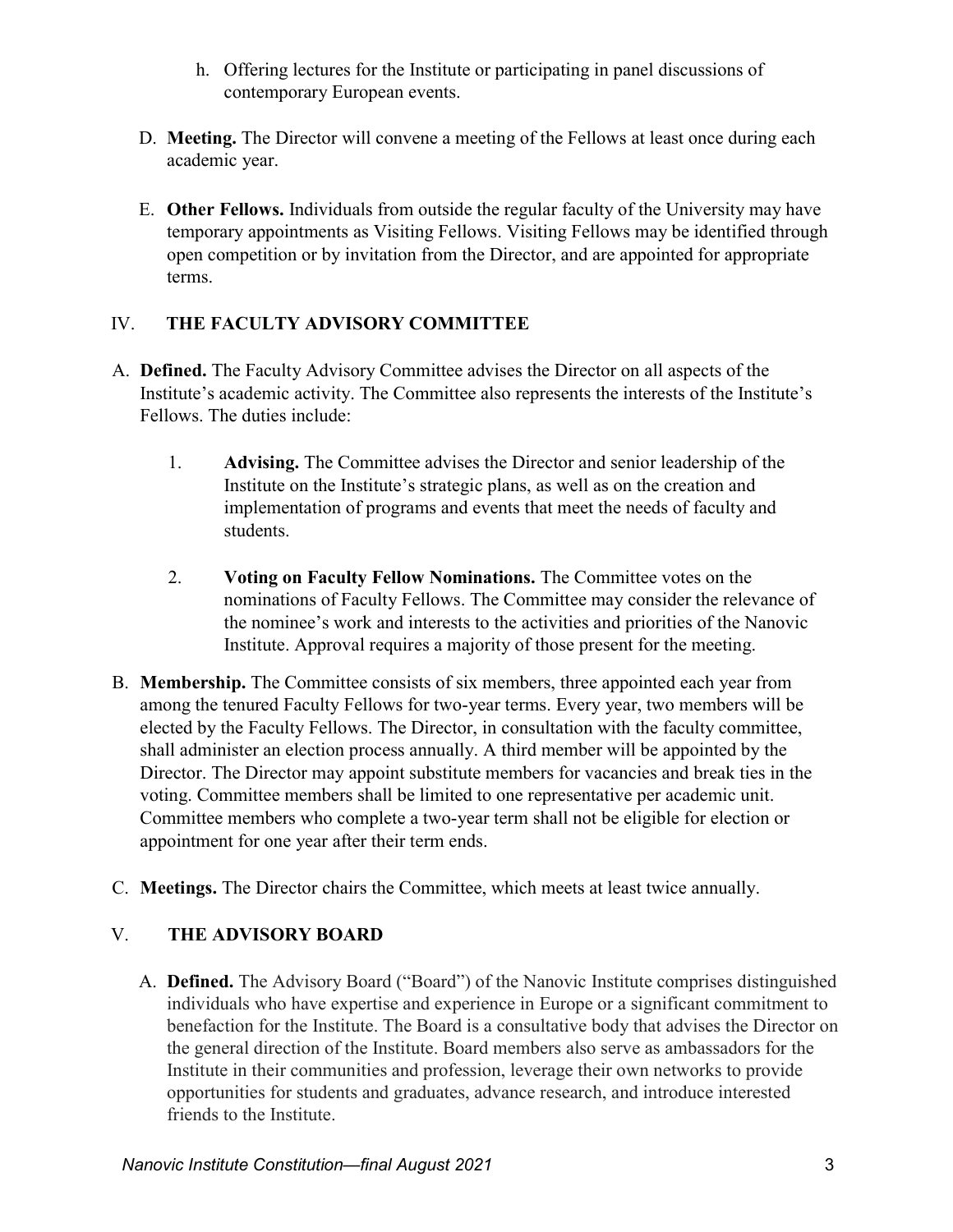- h. Offering lectures for the Institute or participating in panel discussions of contemporary European events.
- D. Meeting. The Director will convene a meeting of the Fellows at least once during each academic year.
- E. Other Fellows. Individuals from outside the regular faculty of the University may have temporary appointments as Visiting Fellows. Visiting Fellows may be identified through open competition or by invitation from the Director, and are appointed for appropriate terms.

## IV. THE FACULTY ADVISORY COMMITTEE

- A. Defined. The Faculty Advisory Committee advises the Director on all aspects of the Institute's academic activity. The Committee also represents the interests of the Institute's Fellows. The duties include:
	- 1. Advising. The Committee advises the Director and senior leadership of the Institute on the Institute's strategic plans, as well as on the creation and implementation of programs and events that meet the needs of faculty and students.
	- 2. Voting on Faculty Fellow Nominations. The Committee votes on the nominations of Faculty Fellows. The Committee may consider the relevance of the nominee's work and interests to the activities and priorities of the Nanovic Institute. Approval requires a majority of those present for the meeting.
- B. Membership. The Committee consists of six members, three appointed each year from among the tenured Faculty Fellows for two-year terms. Every year, two members will be elected by the Faculty Fellows. The Director, in consultation with the faculty committee, shall administer an election process annually. A third member will be appointed by the Director. The Director may appoint substitute members for vacancies and break ties in the voting. Committee members shall be limited to one representative per academic unit. Committee members who complete a two-year term shall not be eligible for election or appointment for one year after their term ends.
- C. Meetings. The Director chairs the Committee, which meets at least twice annually.

## V. THE ADVISORY BOARD

A. Defined. The Advisory Board ("Board") of the Nanovic Institute comprises distinguished individuals who have expertise and experience in Europe or a significant commitment to benefaction for the Institute. The Board is a consultative body that advises the Director on the general direction of the Institute. Board members also serve as ambassadors for the Institute in their communities and profession, leverage their own networks to provide opportunities for students and graduates, advance research, and introduce interested friends to the Institute.